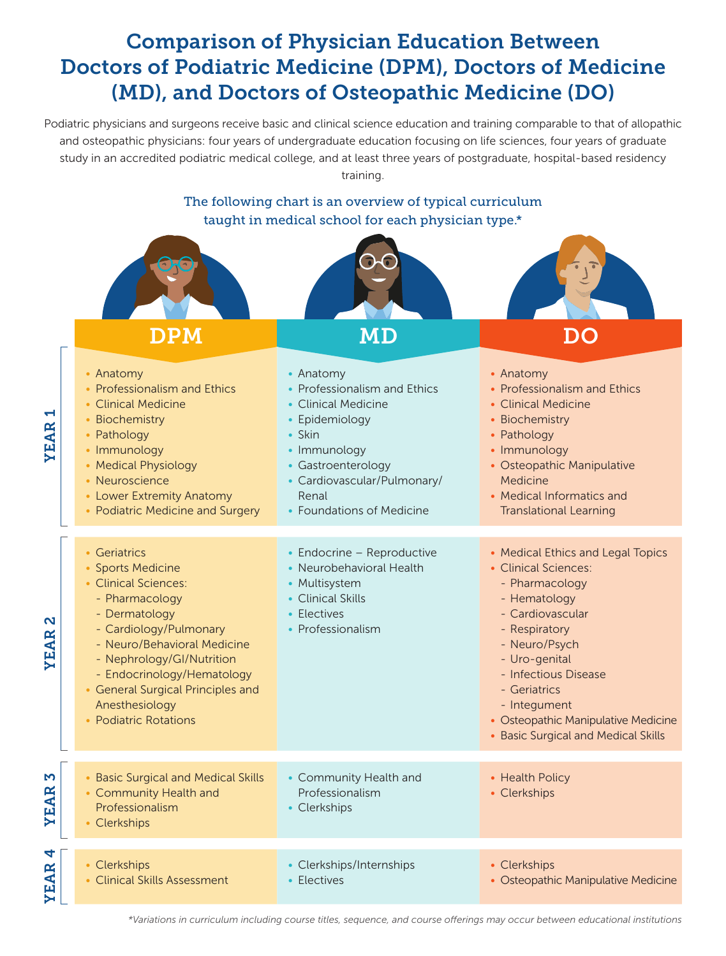# Comparison of Physician Education Between Doctors of Podiatric Medicine (DPM), Doctors of Medicine (MD), and Doctors of Osteopathic Medicine (DO)

Podiatric physicians and surgeons receive basic and clinical science education and training comparable to that of allopathic and osteopathic physicians: four years of undergraduate education focusing on life sciences, four years of graduate study in an accredited podiatric medical college, and at least three years of postgraduate, hospital-based residency training.



|                  | <b>DPM</b>                                                                                                                                                                                                                                                                                       | MD                                                                                                                                                                                                      | DO                                                                                                                                                                                                                                                                                                       |
|------------------|--------------------------------------------------------------------------------------------------------------------------------------------------------------------------------------------------------------------------------------------------------------------------------------------------|---------------------------------------------------------------------------------------------------------------------------------------------------------------------------------------------------------|----------------------------------------------------------------------------------------------------------------------------------------------------------------------------------------------------------------------------------------------------------------------------------------------------------|
| ↽<br>YEAR        | • Anatomy<br>• Professionalism and Ethics<br>• Clinical Medicine<br>• Biochemistry<br>• Pathology<br>• Immunology<br>• Medical Physiology<br>• Neuroscience<br>• Lower Extremity Anatomy<br>• Podiatric Medicine and Surgery                                                                     | • Anatomy<br>• Professionalism and Ethics<br>• Clinical Medicine<br>• Epidemiology<br>• Skin<br>• Immunology<br>• Gastroenterology<br>• Cardiovascular/Pulmonary/<br>Renal<br>• Foundations of Medicine | • Anatomy<br>• Professionalism and Ethics<br>• Clinical Medicine<br>• Biochemistry<br>• Pathology<br>• Immunology<br>• Osteopathic Manipulative<br>Medicine<br>• Medical Informatics and<br><b>Translational Learning</b>                                                                                |
| N<br>YEAR        | • Geriatrics<br>• Sports Medicine<br>• Clinical Sciences:<br>- Pharmacology<br>- Dermatology<br>- Cardiology/Pulmonary<br>- Neuro/Behavioral Medicine<br>- Nephrology/GI/Nutrition<br>- Endocrinology/Hematology<br>• General Surgical Principles and<br>Anesthesiology<br>• Podiatric Rotations | • Endocrine - Reproductive<br>• Neurobehavioral Health<br>• Multisystem<br>• Clinical Skills<br>• Electives<br>• Professionalism                                                                        | • Medical Ethics and Legal Topics<br>• Clinical Sciences:<br>- Pharmacology<br>- Hematology<br>- Cardiovascular<br>- Respiratory<br>- Neuro/Psych<br>- Uro-genital<br>- Infectious Disease<br>- Geriatrics<br>- Integument<br>• Osteopathic Manipulative Medicine<br>• Basic Surgical and Medical Skills |
| M<br>YEAR        | • Basic Surgical and Medical Skills<br>• Community Health and<br>Professionalism<br>• Clerkships                                                                                                                                                                                                 | • Community Health and<br>Professionalism<br>• Clerkships                                                                                                                                               | • Health Policy<br>• Clerkships                                                                                                                                                                                                                                                                          |
| 4<br><b>YEAR</b> | • Clerkships<br>• Clinical Skills Assessment                                                                                                                                                                                                                                                     | • Clerkships/Internships<br>• Electives                                                                                                                                                                 | • Clerkships<br>• Osteopathic Manipulative Medicine                                                                                                                                                                                                                                                      |

*\*Variations in curriculum including course titles, sequence, and course offerings may occur between educational institutions*